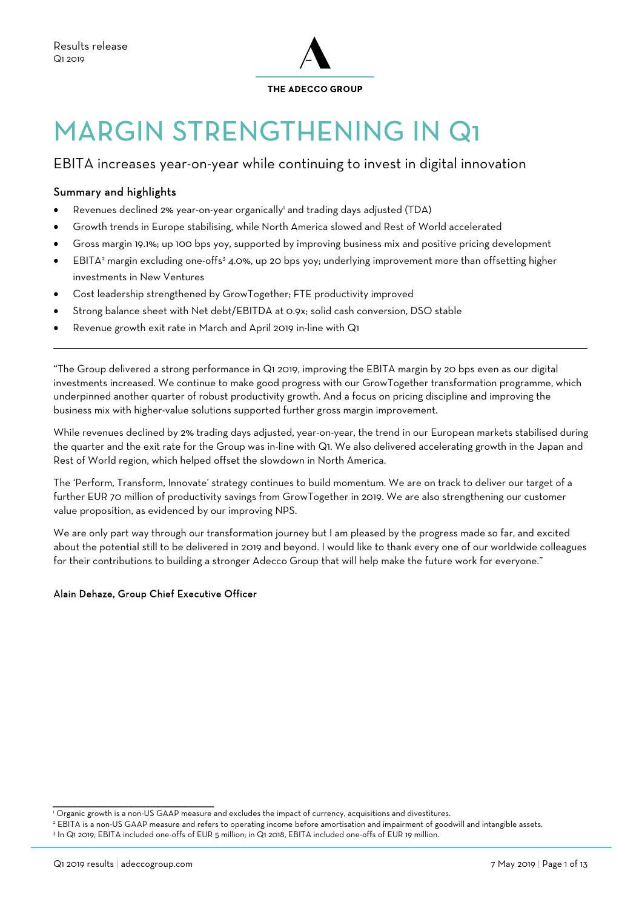

# MARGIN STRENGTHENING IN Q1

### EBITA increases year-on-year while continuing to invest in digital innovation

#### Summary and highlights

 $\overline{a}$ 

- Revenues declined 2% year-on-year organically' and trading days adjusted (TDA)
- Growth trends in Europe stabilising, while North America slowed and Rest of World accelerated
- Gross margin 19.1%; up 100 bps yoy, supported by improving business mix and positive pricing development
- **EBITA**<sup>2</sup> margin excluding one-offs<sup>3</sup> 4.0%, up 20 bps yoy; underlying improvement more than offsetting higher investments in New Ventures
- Cost leadership strengthened by GrowTogether; FTE productivity improved
- Strong balance sheet with Net debt/EBITDA at 0.9x; solid cash conversion, DSO stable
- Revenue growth exit rate in March and April 2019 in-line with Q1

"The Group delivered a strong performance in Q1 2019, improving the EBITA margin by 20 bps even as our digital investments increased. We continue to make good progress with our GrowTogether transformation programme, which underpinned another quarter of robust productivity growth. And a focus on pricing discipline and improving the business mix with higher-value solutions supported further gross margin improvement.

While revenues declined by 2% trading days adjusted, year-on-year, the trend in our European markets stabilised during the quarter and the exit rate for the Group was in-line with Q1. We also delivered accelerating growth in the Japan and Rest of World region, which helped offset the slowdown in North America.

The 'Perform, Transform, Innovate' strategy continues to build momentum. We are on track to deliver our target of a further EUR 70 million of productivity savings from GrowTogether in 2019. We are also strengthening our customer value proposition, as evidenced by our improving NPS.

We are only part way through our transformation journey but I am pleased by the progress made so far, and excited about the potential still to be delivered in 2019 and beyond. I would like to thank every one of our worldwide colleagues for their contributions to building a stronger Adecco Group that will help make the future work for everyone."

#### Alain Dehaze, Group Chief Executive Officer

\_\_\_\_\_\_\_\_\_\_\_\_\_\_\_\_\_\_\_\_\_\_\_\_\_\_\_\_\_\_\_\_\_\_\_\_\_\_\_\_\_\_\_\_\_\_\_\_\_\_\_\_\_\_\_\_\_\_\_\_\_\_\_\_\_\_

<sup>1</sup> Organic growth is a non-US GAAP measure and excludes the impact of currency, acquisitions and divestitures.

<sup>&</sup>lt;sup>2</sup> EBITA is a non-US GAAP measure and refers to operating income before amortisation and impairment of goodwill and intangible assets.<br>3 In O1 2010, EBITA included one-offs of EHD 5 million: in O1 2018, EBITA included one

In Q1 2019, EBITA included one-offs of EUR 5 million; in Q1 2018, EBITA included one-offs of EUR 19 million.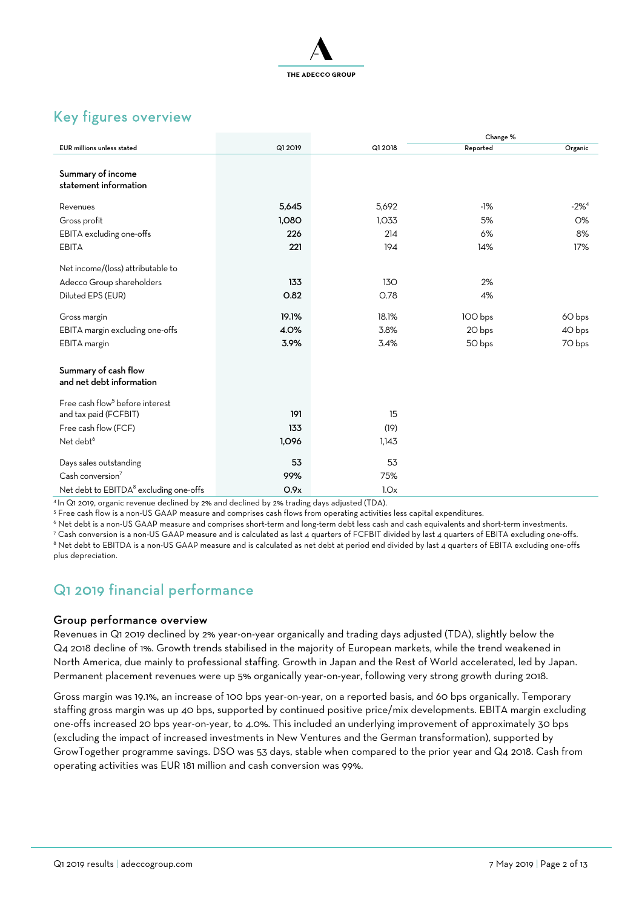

## Key figures overview

|                                                    |         |         | Change % |            |
|----------------------------------------------------|---------|---------|----------|------------|
| <b>EUR</b> millions unless stated                  | Q1 2019 | Q1 2018 | Reported | Organic    |
| Summary of income<br>statement information         |         |         |          |            |
| Revenues                                           | 5,645   | 5,692   | $-1%$    | $-2\%^{4}$ |
| Gross profit                                       | 1,080   | 1,033   | 5%       | <b>O%</b>  |
| EBITA excluding one-offs                           | 226     | 214     | 6%       | 8%         |
| <b>EBITA</b>                                       | 221     | 194     | 14%      | 17%        |
| Net income/(loss) attributable to                  |         |         |          |            |
| Adecco Group shareholders                          | 133     | 130     | 2%       |            |
| Diluted EPS (EUR)                                  | O.82    | O.78    | 4%       |            |
| Gross margin                                       | 19.1%   | 18.1%   | 100 bps  | 60 bps     |
| EBITA margin excluding one-offs                    | 4.0%    | 3.8%    | 20 bps   | 40 bps     |
| EBITA margin                                       | 3.9%    | 3.4%    | 50 bps   | 70 bps     |
| Summary of cash flow<br>and net debt information   |         |         |          |            |
| Free cash flow <sup>5</sup> before interest        |         |         |          |            |
| and tax paid (FCFBIT)                              | 191     | 15      |          |            |
| Free cash flow (FCF)                               | 133     | (19)    |          |            |
| Net debt <sup>6</sup>                              | 1,096   | 1,143   |          |            |
| Days sales outstanding                             | 53      | 53      |          |            |
| Cash conversion <sup>7</sup>                       | 99%     | 75%     |          |            |
| Net debt to EBITDA <sup>8</sup> excluding one-offs | O.9x    | 1.0x    |          |            |

<sup>4</sup> In Q1 2019, organic revenue declined by 2% and declined by 2% trading days adjusted (TDA).

<sup>5</sup> Free cash flow is a non-US GAAP measure and comprises cash flows from operating activities less capital expenditures.

 $\degree$  Net debt is a non-US GAAP measure and comprises short-term and long-term debt less cash and cash equivalents and short-term investments.<br>7 Cash conversion is a non-US GAAP measure and is calculated as last 4 quarters

<sup>8</sup> Net debt to EBITDA is a non-US GAAP measure and is calculated as net debt at period end divided by last 4 quarters of EBITA excluding one-offs plus depreciation.

## Q1 2019 financial performance

#### Group performance overview

Revenues in Q1 2019 declined by 2% year-on-year organically and trading days adjusted (TDA), slightly below the Q4 2018 decline of 1%. Growth trends stabilised in the majority of European markets, while the trend weakened in North America, due mainly to professional staffing. Growth in Japan and the Rest of World accelerated, led by Japan. Permanent placement revenues were up 5% organically year-on-year, following very strong growth during 2018.

Gross margin was 19.1%, an increase of 100 bps year-on-year, on a reported basis, and 60 bps organically. Temporary staffing gross margin was up 40 bps, supported by continued positive price/mix developments. EBITA margin excluding one-offs increased 20 bps year-on-year, to 4.0%. This included an underlying improvement of approximately 30 bps (excluding the impact of increased investments in New Ventures and the German transformation), supported by GrowTogether programme savings. DSO was 53 days, stable when compared to the prior year and Q4 2018. Cash from operating activities was EUR 181 million and cash conversion was 99%.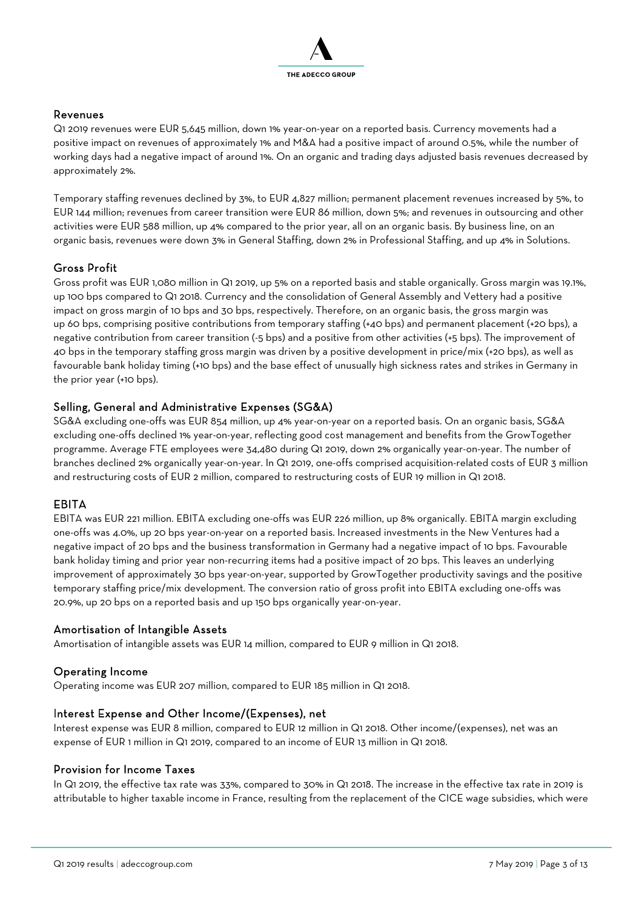

#### Revenues

Q1 2019 revenues were EUR 5,645 million, down 1% year-on-year on a reported basis. Currency movements had a positive impact on revenues of approximately 1% and M&A had a positive impact of around 0.5%, while the number of working days had a negative impact of around 1%. On an organic and trading days adjusted basis revenues decreased by approximately 2%.

Temporary staffing revenues declined by 3%, to EUR 4,827 million; permanent placement revenues increased by 5%, to EUR 144 million; revenues from career transition were EUR 86 million, down 5%; and revenues in outsourcing and other activities were EUR 588 million, up 4% compared to the prior year, all on an organic basis. By business line, on an organic basis, revenues were down 3% in General Staffing, down 2% in Professional Staffing, and up 4% in Solutions.

#### Gross Profit

Gross profit was EUR 1,080 million in Q1 2019, up 5% on a reported basis and stable organically. Gross margin was 19.1%, up 100 bps compared to Q1 2018. Currency and the consolidation of General Assembly and Vettery had a positive impact on gross margin of 10 bps and 30 bps, respectively. Therefore, on an organic basis, the gross margin was up 60 bps, comprising positive contributions from temporary staffing (+40 bps) and permanent placement (+20 bps), a negative contribution from career transition (-5 bps) and a positive from other activities (+5 bps). The improvement of 40 bps in the temporary staffing gross margin was driven by a positive development in price/mix (+20 bps), as well as favourable bank holiday timing (+10 bps) and the base effect of unusually high sickness rates and strikes in Germany in the prior year (+10 bps).

#### Selling, General and Administrative Expenses (SG&A)

SG&A excluding one-offs was EUR 854 million, up 4% year-on-year on a reported basis. On an organic basis, SG&A excluding one-offs declined 1% year-on-year, reflecting good cost management and benefits from the GrowTogether programme. Average FTE employees were 34,480 during Q1 2019, down 2% organically year-on-year. The number of branches declined 2% organically year-on-year. In Q1 2019, one-offs comprised acquisition-related costs of EUR 3 million and restructuring costs of EUR 2 million, compared to restructuring costs of EUR 19 million in Q1 2018.

#### EBITA

EBITA was EUR 221 million. EBITA excluding one-offs was EUR 226 million, up 8% organically. EBITA margin excluding one-offs was 4.0%, up 20 bps year-on-year on a reported basis. Increased investments in the New Ventures had a negative impact of 20 bps and the business transformation in Germany had a negative impact of 10 bps. Favourable bank holiday timing and prior year non-recurring items had a positive impact of 20 bps. This leaves an underlying improvement of approximately 30 bps year-on-year, supported by GrowTogether productivity savings and the positive temporary staffing price/mix development. The conversion ratio of gross profit into EBITA excluding one-offs was 20.9%, up 20 bps on a reported basis and up 150 bps organically year-on-year.

#### Amortisation of Intangible Assets

Amortisation of intangible assets was EUR 14 million, compared to EUR 9 million in Q1 2018.

#### Operating Income

Operating income was EUR 207 million, compared to EUR 185 million in Q1 2018.

#### Interest Expense and Other Income/(Expenses), net

Interest expense was EUR 8 million, compared to EUR 12 million in Q1 2018. Other income/(expenses), net was an expense of EUR 1 million in Q1 2019, compared to an income of EUR 13 million in Q1 2018.

#### Provision for Income Taxes

In Q1 2019, the effective tax rate was 33%, compared to 30% in Q1 2018. The increase in the effective tax rate in 2019 is attributable to higher taxable income in France, resulting from the replacement of the CICE wage subsidies, which were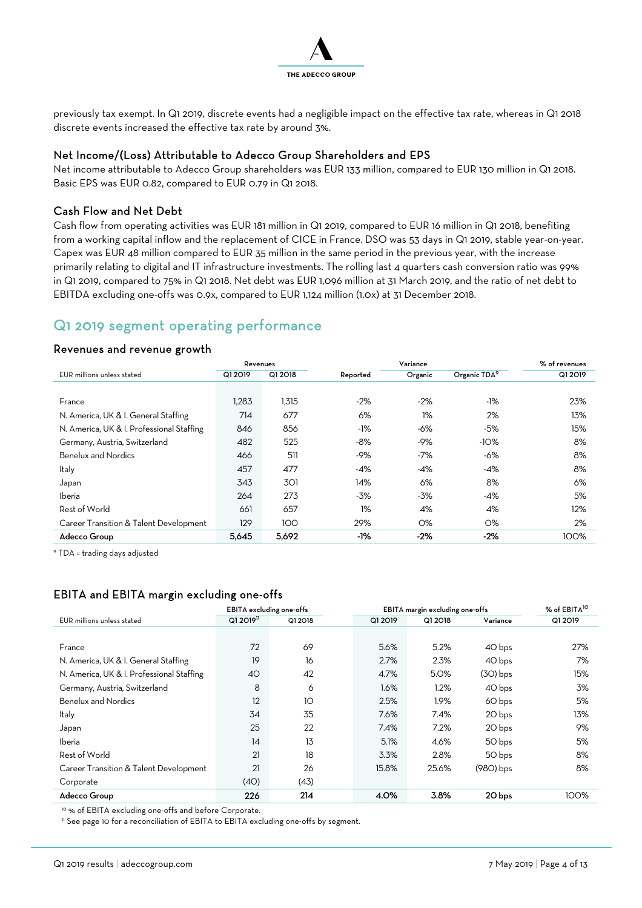

previously tax exempt. In Q1 2019, discrete events had a negligible impact on the effective tax rate, whereas in Q1 2018 discrete events increased the effective tax rate by around 3%.

#### Net Income/(Loss) Attributable to Adecco Group Shareholders and EPS

Net income attributable to Adecco Group shareholders was EUR 133 million, compared to EUR 130 million in Q1 2018. Basic EPS was EUR 0.82, compared to EUR 0.79 in Q1 2018.

#### Cash Flow and Net Debt

Cash flow from operating activities was EUR 181 million in Q1 2019, compared to EUR 16 million in Q1 2018, benefiting from a working capital inflow and the replacement of CICE in France. DSO was 53 days in Q1 2019, stable year-on-year. Capex was EUR 48 million compared to EUR 35 million in the same period in the previous year, with the increase primarily relating to digital and IT infrastructure investments. The rolling last 4 quarters cash conversion ratio was 99% in Q1 2019, compared to 75% in Q1 2018. Net debt was EUR 1,096 million at 31 March 2019, and the ratio of net debt to EBITDA excluding one-offs was 0.9x, compared to EUR 1,124 million (1.0x) at 31 December 2018.

## Q1 2019 segment operating performance

#### Revenues and revenue growth

|                                           |         | Variance<br>Revenues |          |         |                          |         |  |  |
|-------------------------------------------|---------|----------------------|----------|---------|--------------------------|---------|--|--|
| EUR millions unless stated                | Q1 2019 | Q1 2018              | Reported | Organic | Organic TDA <sup>9</sup> | Q1 2019 |  |  |
|                                           |         |                      |          |         |                          |         |  |  |
| France                                    | 1,283   | 1,315                | $-2%$    | $-2%$   | -1%                      | 23%     |  |  |
| N. America, UK & I. General Staffing      | 714     | 677                  | 6%       | 1%      | 2%                       | 13%     |  |  |
| N. America, UK & I. Professional Staffing | 846     | 856                  | -1%      | -6%     | -5%                      | 15%     |  |  |
| Germany, Austria, Switzerland             | 482     | 525                  | $-8%$    | $-9%$   | $-10%$                   | 8%      |  |  |
| Benelux and Nordics                       | 466     | 511                  | -9%      | $-7%$   | -6%                      | 8%      |  |  |
| Italy                                     | 457     | 477                  | -4%      | -4%     | -4%                      | 8%      |  |  |
| Japan                                     | 343     | 301                  | 14%      | 6%      | 8%                       | 6%      |  |  |
| Iberia                                    | 264     | 273                  | $-3%$    | -3%     | -4%                      | 5%      |  |  |
| Rest of World                             | 661     | 657                  | 1%       | 4%      | 4%                       | 12%     |  |  |
| Career Transition & Talent Development    | 129     | 100                  | 29%      | $O\%$   | O%                       | 2%      |  |  |
| Adecco Group                              | 5,645   | 5,692                | -1%      | -2%     | $-2%$                    | 100%    |  |  |

9 TDA = trading days adjusted

#### EBITA and EBITA margin excluding one-offs

|                                           | EBITA excluding one-offs |         | EBITA margin excluding one-offs |         |             | % of EBITA <sup>10</sup> |
|-------------------------------------------|--------------------------|---------|---------------------------------|---------|-------------|--------------------------|
| EUR millions unless stated                | Q12O19 <sup>11</sup>     | Q1 2018 | Q1 2019                         | Q1 2018 | Variance    | Q1 2019                  |
|                                           |                          |         |                                 |         |             |                          |
| France                                    | 72                       | 69      | 5.6%                            | 5.2%    | 40 bps      | 27%                      |
| N. America, UK & I. General Staffing      | 19                       | 16      | 2.7%                            | 2.3%    | 40 bps      | 7%                       |
| N. America, UK & I. Professional Staffing | 40                       | 42      | 4.7%                            | 5.0%    | $(3O)$ bps  | 15%                      |
| Germany, Austria, Switzerland             | 8                        | 6       | 1.6%                            | 1.2%    | 40 bps      | 3%                       |
| Benelux and Nordics                       | 12                       | 10      | 2.5%                            | 1.9%    | 60 bps      | 5%                       |
| Italy                                     | 34                       | 35      | 7.6%                            | 7.4%    | 20 bps      | 13%                      |
| Japan                                     | 25                       | 22      | 7.4%                            | 7.2%    | 20 bps      | 9%                       |
| Iberia                                    | 14                       | 13      | 5.1%                            | 4.6%    | 50 bps      | 5%                       |
| Rest of World                             | 21                       | 18      | 3.3%                            | 2.8%    | 50 bps      | 8%                       |
| Career Transition & Talent Development    | 21                       | 26      | 15.8%                           | 25.6%   | $(98O)$ bps | 8%                       |
| Corporate                                 | (4O)                     | (43)    |                                 |         |             |                          |
| Adecco Group                              | 226                      | 214     | 4.0%                            | 3.8%    | 20 bps      | 100%                     |

10 % of EBITA excluding one-offs and before Corporate.

<sup>11</sup> See page 10 for a reconciliation of EBITA to EBITA excluding one-offs by segment.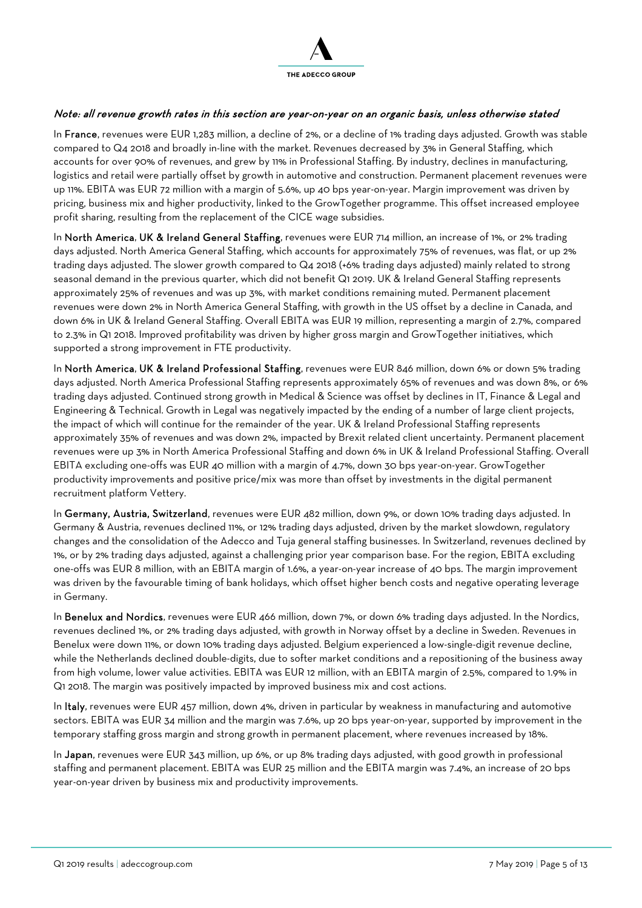

#### Note: all revenue growth rates in this section are year-on-year on an organic basis, unless otherwise stated

In France, revenues were EUR 1,283 million, a decline of 2%, or a decline of 1% trading days adjusted. Growth was stable compared to Q4 2018 and broadly in-line with the market. Revenues decreased by 3% in General Staffing, which accounts for over 90% of revenues, and grew by 11% in Professional Staffing. By industry, declines in manufacturing, logistics and retail were partially offset by growth in automotive and construction. Permanent placement revenues were up 11%. EBITA was EUR 72 million with a margin of 5.6%, up 40 bps year-on-year. Margin improvement was driven by pricing, business mix and higher productivity, linked to the GrowTogether programme. This offset increased employee profit sharing, resulting from the replacement of the CICE wage subsidies.

In North America, UK & Ireland General Staffing, revenues were EUR 714 million, an increase of 1%, or 2% trading days adjusted. North America General Staffing, which accounts for approximately 75% of revenues, was flat, or up 2% trading days adjusted. The slower growth compared to Q4 2018 (+6% trading days adjusted) mainly related to strong seasonal demand in the previous quarter, which did not benefit Q1 2019. UK & Ireland General Staffing represents approximately 25% of revenues and was up 3%, with market conditions remaining muted. Permanent placement revenues were down 2% in North America General Staffing, with growth in the US offset by a decline in Canada, and down 6% in UK & Ireland General Staffing. Overall EBITA was EUR 19 million, representing a margin of 2.7%, compared to 2.3% in Q1 2018. Improved profitability was driven by higher gross margin and GrowTogether initiatives, which supported a strong improvement in FTE productivity.

In North America, UK & Ireland Professional Staffing, revenues were EUR 846 million, down 6% or down 5% trading days adjusted. North America Professional Staffing represents approximately 65% of revenues and was down 8%, or 6% trading days adjusted. Continued strong growth in Medical & Science was offset by declines in IT, Finance & Legal and Engineering & Technical. Growth in Legal was negatively impacted by the ending of a number of large client projects, the impact of which will continue for the remainder of the year. UK & Ireland Professional Staffing represents approximately 35% of revenues and was down 2%, impacted by Brexit related client uncertainty. Permanent placement revenues were up 3% in North America Professional Staffing and down 6% in UK & Ireland Professional Staffing. Overall EBITA excluding one-offs was EUR 40 million with a margin of 4.7%, down 30 bps year-on-year. GrowTogether productivity improvements and positive price/mix was more than offset by investments in the digital permanent recruitment platform Vettery.

In Germany, Austria, Switzerland, revenues were EUR 482 million, down 9%, or down 10% trading days adjusted. In Germany & Austria, revenues declined 11%, or 12% trading days adjusted, driven by the market slowdown, regulatory changes and the consolidation of the Adecco and Tuja general staffing businesses. In Switzerland, revenues declined by 1%, or by 2% trading days adjusted, against a challenging prior year comparison base. For the region, EBITA excluding one-offs was EUR 8 million, with an EBITA margin of 1.6%, a year-on-year increase of 40 bps. The margin improvement was driven by the favourable timing of bank holidays, which offset higher bench costs and negative operating leverage in Germany.

In Benelux and Nordics, revenues were EUR 466 million, down 7%, or down 6% trading days adjusted. In the Nordics, revenues declined 1%, or 2% trading days adjusted, with growth in Norway offset by a decline in Sweden. Revenues in Benelux were down 11%, or down 10% trading days adjusted. Belgium experienced a low-single-digit revenue decline, while the Netherlands declined double-digits, due to softer market conditions and a repositioning of the business away from high volume, lower value activities. EBITA was EUR 12 million, with an EBITA margin of 2.5%, compared to 1.9% in Q1 2018. The margin was positively impacted by improved business mix and cost actions.

In Italy, revenues were EUR 457 million, down 4%, driven in particular by weakness in manufacturing and automotive sectors. EBITA was EUR 34 million and the margin was 7.6%, up 20 bps year-on-year, supported by improvement in the temporary staffing gross margin and strong growth in permanent placement, where revenues increased by 18%.

In Japan, revenues were EUR 343 million, up 6%, or up 8% trading days adjusted, with good growth in professional staffing and permanent placement. EBITA was EUR 25 million and the EBITA margin was 7.4%, an increase of 20 bps year-on-year driven by business mix and productivity improvements.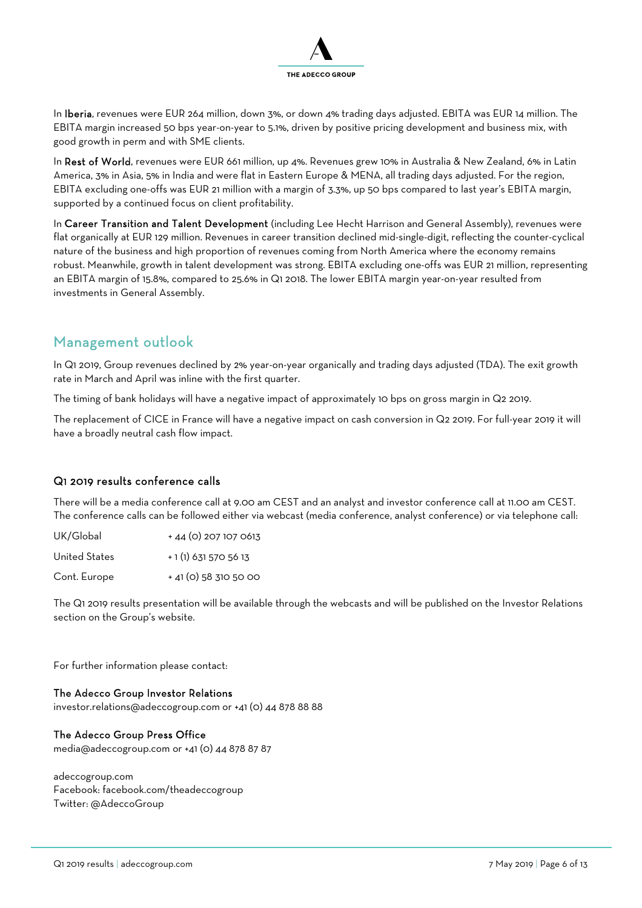

In Iberia, revenues were EUR 264 million, down 3%, or down 4% trading days adjusted. EBITA was EUR 14 million. The EBITA margin increased 50 bps year-on-year to 5.1%, driven by positive pricing development and business mix, with good growth in perm and with SME clients.

In Rest of World, revenues were EUR 661 million, up 4%. Revenues grew 10% in Australia & New Zealand, 6% in Latin America, 3% in Asia, 5% in India and were flat in Eastern Europe & MENA, all trading days adjusted. For the region, EBITA excluding one-offs was EUR 21 million with a margin of 3.3%, up 50 bps compared to last year's EBITA margin, supported by a continued focus on client profitability.

In Career Transition and Talent Development (including Lee Hecht Harrison and General Assembly), revenues were flat organically at EUR 129 million. Revenues in career transition declined mid-single-digit, reflecting the counter-cyclical nature of the business and high proportion of revenues coming from North America where the economy remains robust. Meanwhile, growth in talent development was strong. EBITA excluding one-offs was EUR 21 million, representing an EBITA margin of 15.8%, compared to 25.6% in Q1 2018. The lower EBITA margin year-on-year resulted from investments in General Assembly.

### Management outlook

In Q1 2019, Group revenues declined by 2% year-on-year organically and trading days adjusted (TDA). The exit growth rate in March and April was inline with the first quarter.

The timing of bank holidays will have a negative impact of approximately 10 bps on gross margin in Q2 2019.

The replacement of CICE in France will have a negative impact on cash conversion in Q2 2019. For full-year 2019 it will have a broadly neutral cash flow impact.

#### Q1 2019 results conference calls

There will be a media conference call at 9.00 am CEST and an analyst and investor conference call at 11.00 am CEST. The conference calls can be followed either via webcast (media conference, analyst conference) or via telephone call:

UK/Global + 44 (0) 207 107 0613

United States  $+ 1 (1) 631 570 56 13$ 

Cont. Europe  $+$  41 (0) 58 310 50 00

The Q1 2019 results presentation will be available through the webcasts and will be published on the Investor Relations section on the Group's website.

For further information please contact:

#### The Adecco Group Investor Relations

investor.relations@adeccogroup.com or +41 (0) 44 878 88 88

#### The Adecco Group Press Office

media@adeccogroup.com or +41 (0) 44 878 87 87

adeccogroup.com Facebook: facebook.com/theadeccogroup Twitter: @AdeccoGroup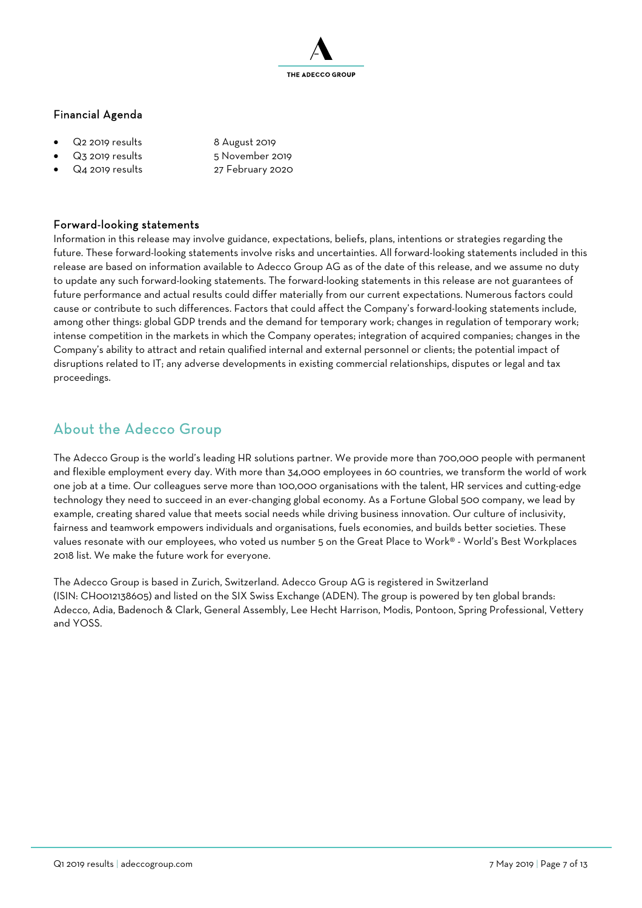

#### Financial Agenda

- Q2 2019 results 8 August 2019
- 
- Q4 2019 results 27 February 2020
- Q3 2019 results 5 November 2019
- 

#### Forward-looking statements

Information in this release may involve guidance, expectations, beliefs, plans, intentions or strategies regarding the future. These forward-looking statements involve risks and uncertainties. All forward-looking statements included in this release are based on information available to Adecco Group AG as of the date of this release, and we assume no duty to update any such forward-looking statements. The forward-looking statements in this release are not guarantees of future performance and actual results could differ materially from our current expectations. Numerous factors could cause or contribute to such differences. Factors that could affect the Company's forward-looking statements include, among other things: global GDP trends and the demand for temporary work; changes in regulation of temporary work; intense competition in the markets in which the Company operates; integration of acquired companies; changes in the Company's ability to attract and retain qualified internal and external personnel or clients; the potential impact of disruptions related to IT; any adverse developments in existing commercial relationships, disputes or legal and tax proceedings.

## About the Adecco Group

The Adecco Group is the world's leading HR solutions partner. We provide more than 700,000 people with permanent and flexible employment every day. With more than 34,000 employees in 60 countries, we transform the world of work one job at a time. Our colleagues serve more than 100,000 organisations with the talent, HR services and cutting-edge technology they need to succeed in an ever-changing global economy. As a Fortune Global 500 company, we lead by example, creating shared value that meets social needs while driving business innovation. Our culture of inclusivity, fairness and teamwork empowers individuals and organisations, fuels economies, and builds better societies. These values resonate with our employees, who voted us number 5 on the Great Place to Work® - World's Best Workplaces 2018 list. We make the future work for everyone.

The Adecco Group is based in Zurich, Switzerland. Adecco Group AG is registered in Switzerland (ISIN: CH0012138605) and listed on the SIX Swiss Exchange (ADEN). The group is powered by ten global brands: Adecco, Adia, Badenoch & Clark, General Assembly, Lee Hecht Harrison, Modis, Pontoon, Spring Professional, Vettery and YOSS.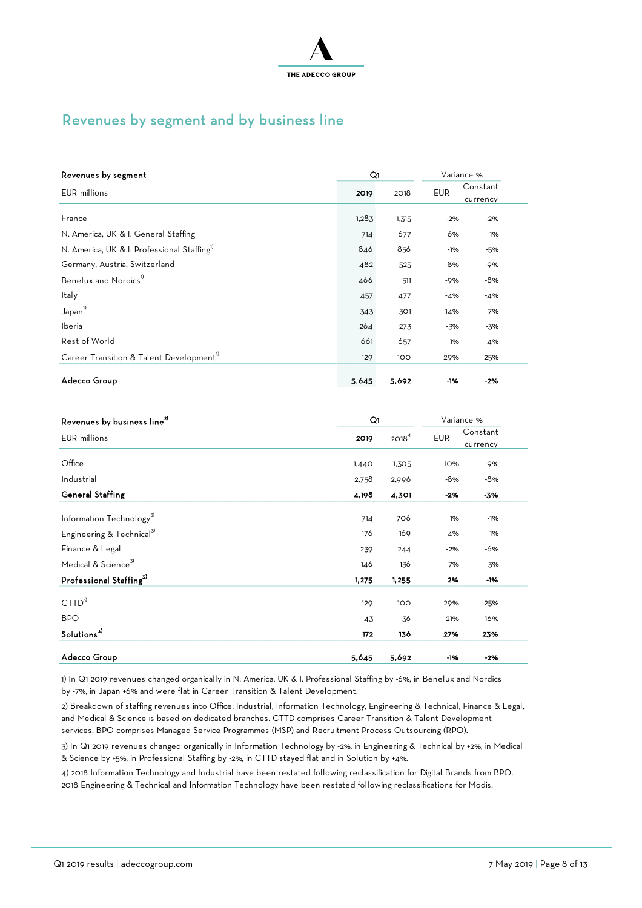

## Revenues by segment and by business line

| Revenues by segment                                     | Q۱    |       |            | Variance % |
|---------------------------------------------------------|-------|-------|------------|------------|
| EUR millions                                            | 2019  | 2018  | <b>EUR</b> | Constant   |
|                                                         |       |       |            | currency   |
| France                                                  | 1,283 | 1,315 | $-2%$      | $-2%$      |
| N. America, UK & I. General Staffing                    | 714   | 677   | 6%         | 1%         |
| N. America, UK & I. Professional Staffing <sup>1)</sup> | 846   | 856   | $-1%$      | -5%        |
| Germany, Austria, Switzerland                           | 482   | 525   | $-8%$      | $-9%$      |
| Benelux and Nordics <sup>1)</sup>                       | 466   | 511   | $-9%$      | -8%        |
| Italy                                                   | 457   | 477   | -4%        | -4%        |
| Japan <sup>1)</sup>                                     | 343   | 301   | 14%        | 7%         |
| Iberia                                                  | 264   | 273   | -3%        | -3%        |
| Rest of World                                           | 661   | 657   | 1%         | 4%         |
| Career Transition & Talent Development <sup>17</sup>    | 129   | 100   | 29%        | 25%        |
|                                                         |       |       |            |            |
| Adecco Group                                            | 5,645 | 5,692 | -1%        | -2%        |

| Revenues by business line <sup>2)</sup> | Q1    |                   | Variance % |          |  |
|-----------------------------------------|-------|-------------------|------------|----------|--|
| EUR millions                            | 2019  | 2018 <sup>4</sup> | <b>EUR</b> | Constant |  |
|                                         |       |                   |            | currency |  |
| Office                                  | 1,440 | 1,305             | 10%        | 9%       |  |
| Industrial                              | 2,758 | 2,996             | $-8%$      | -8%      |  |
| <b>General Staffing</b>                 | 4,198 | 4,301             | -2%        | -3%      |  |
| Information Technology <sup>3)</sup>    | 714   | 706               | 1%         | -1%      |  |
| Engineering & Technical <sup>3)</sup>   | 176   | 169               | 4%         | 1%       |  |
| Finance & Legal                         | 239   | 244               | $-2%$      | -6%      |  |
| Medical & Science <sup>3)</sup>         | 146   | 136               | 7%         | 3%       |  |
| Professional Staffing <sup>3)</sup>     | 1,275 | 1,255             | 2%         | -1%      |  |
| CTTD <sup>3</sup>                       | 129   | 100               | 29%        | 25%      |  |
| <b>BPO</b>                              | 43    | 36                | 21%        | 16%      |  |
| Solutions <sup>3)</sup>                 | 172   | 136               | 27%        | 23%      |  |
| Adecco Group                            | 5,645 | 5,692             | -1%        | $-2%$    |  |
|                                         |       |                   |            |          |  |

1) In Q1 2019 revenues changed organically in N. America, UK & I. Professional Staffing by -6%, in Benelux and Nordics by -7%, in Japan +6% and were flat in Career Transition & Talent Development.

2) Breakdown of staffing revenues into Office, Industrial, Information Technology, Engineering & Technical, Finance & Legal, and Medical & Science is based on dedicated branches. CTTD comprises Career Transition & Talent Development services. BPO comprises Managed Service Programmes (MSP) and Recruitment Process Outsourcing (RPO).

3) In Q1 2019 revenues changed organically in Information Technology by -2%, in Engineering & Technical by +2%, in Medical & Science by +5%, in Professional Staffing by -2%, in CTTD stayed flat and in Solution by +4%.

4) 2018 Information Technology and Industrial have been restated following reclassification for Digital Brands from BPO. 2018 Engineering & Technical and Information Technology have been restated following reclassifications for Modis.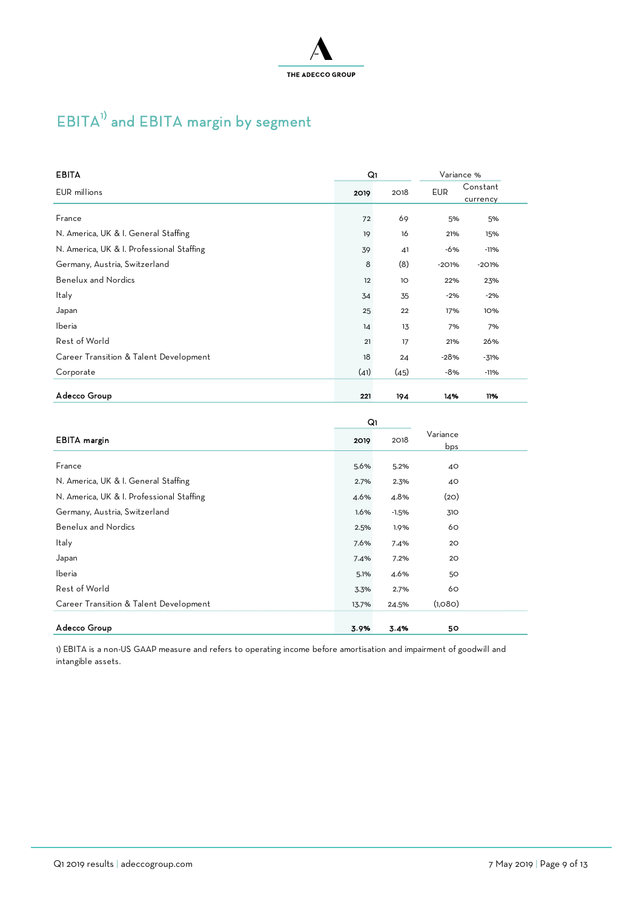

# $EBITA^{1)}$  and  $EBITA$  margin by segment

| <b>EBITA</b>                              | Q۱   |                 | Variance % |                      |  |
|-------------------------------------------|------|-----------------|------------|----------------------|--|
| EUR millions                              | 2019 | 2018            | <b>EUR</b> | Constant<br>currency |  |
| France                                    | 72   | 69              | 5%         | 5%                   |  |
| N. America, UK & I. General Staffing      | 19   | 16              | 21%        | 15%                  |  |
| N. America, UK & I. Professional Staffing | 39   | 41              | -6%        | $-11%$               |  |
| Germany, Austria, Switzerland             | 8    | (8)             | $-201%$    | $-201%$              |  |
| <b>Benelux and Nordics</b>                | 12   | 10 <sup>°</sup> | 22%        | 23%                  |  |
| Italy                                     | 34   | 35              | $-2%$      | $-2%$                |  |
| Japan                                     | 25   | 22              | 17%        | 10%                  |  |
| Iberia                                    | 14   | 13              | 7%         | 7%                   |  |
| Rest of World                             | 21   | 17              | 21%        | 26%                  |  |
| Career Transition & Talent Development    | 18   | 24              | $-28%$     | $-31%$               |  |
| Corporate                                 | (41) | (45)            | -8%        | $-11%$               |  |
| Adecco Group                              | 221  | 194             | 14%        | 11%                  |  |

|                                           | Q1    |         |                 |  |
|-------------------------------------------|-------|---------|-----------------|--|
| <b>EBITA</b> margin                       | 2019  | 2018    | Variance<br>bps |  |
| France                                    | 5.6%  | 5.2%    | 40              |  |
| N. America, UK & I. General Staffing      | 2.7%  | 2.3%    | 40              |  |
| N. America, UK & I. Professional Staffing | 4.6%  | 4.8%    | (2O)            |  |
| Germany, Austria, Switzerland             | 1.6%  | $-1.5%$ | 310             |  |
| <b>Benelux and Nordics</b>                | 2.5%  | 1.9%    | 60              |  |
| Italy                                     | 7.6%  | 7.4%    | 20              |  |
| Japan                                     | 7.4%  | 7.2%    | 20              |  |
| Iberia                                    | 5.1%  | 4.6%    | 50              |  |
| Rest of World                             | 3.3%  | 2.7%    | 60              |  |
| Career Transition & Talent Development    | 13.7% | 24.5%   | (1,080)         |  |
| Adecco Group                              | 3.9%  | 3.4%    | 50              |  |

1) EBITA is a non-US GAAP measure and refers to operating income before amortisation and impairment of goodwill and intangible assets.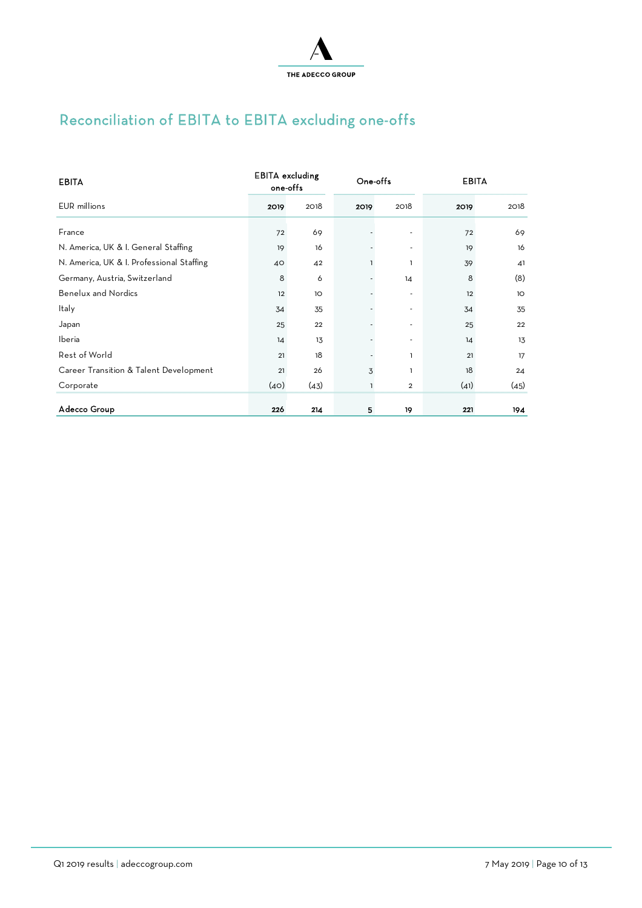

# Reconciliation of EBITA to EBITA excluding one-offs

| <b>EBITA</b>                              | <b>EBITA</b> excluding<br>one-offs |      | One-offs |                          | <b>EBITA</b> |      |
|-------------------------------------------|------------------------------------|------|----------|--------------------------|--------------|------|
| <b>EUR</b> millions                       | 2019                               | 2018 | 2019     | 2018                     | 2019         | 2018 |
| France                                    | 72                                 | 69   |          |                          | 72           | 69   |
| N. America, UK & I. General Staffing      | 19                                 | 16   |          |                          | 19           | 16   |
| N. America, UK & I. Professional Staffing | 40                                 | 42   |          | 1                        | 39           | 41   |
| Germany, Austria, Switzerland             | 8                                  | 6    |          | 14                       | 8            | (8)  |
| <b>Benelux and Nordics</b>                | 12                                 | 1O   |          | $\overline{\phantom{a}}$ | 12           | 1O   |
| Italy                                     | 34                                 | 35   |          | ٠                        | 34           | 35   |
| Japan                                     | 25                                 | 22   |          | ٠                        | 25           | 22   |
| Iberia                                    | 14                                 | 13   |          | ۰                        | 14           | 13   |
| Rest of World                             | 21                                 | 18   |          | ı                        | 21           | 17   |
| Career Transition & Talent Development    | 21                                 | 26   | 3        | ı                        | 18           | 24   |
| Corporate                                 | (40)                               | (43) | ı        | $\overline{2}$           | (41)         | (45) |
| Adecco Group                              | 226                                | 214  | 5        | 19                       | 221          | 194  |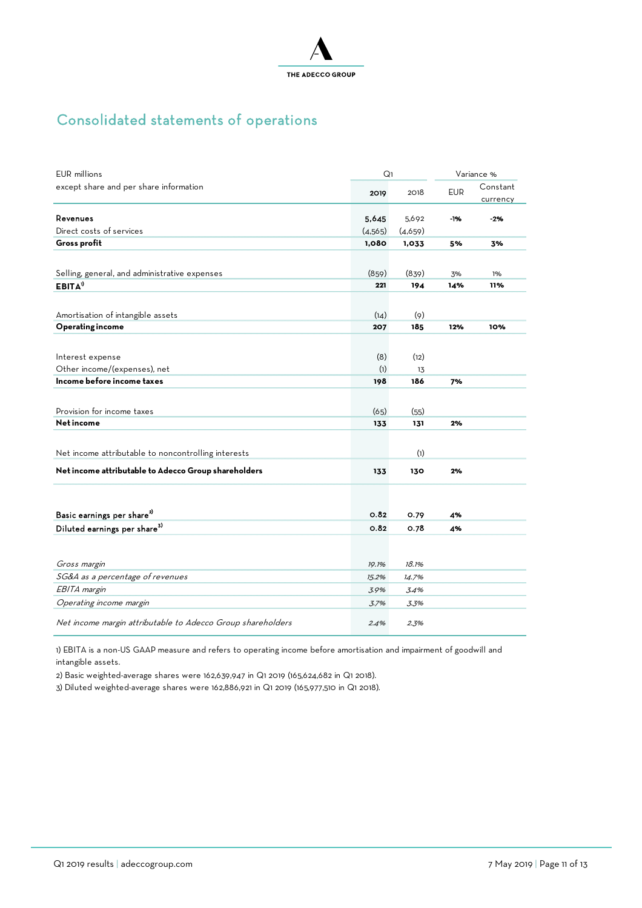

# Consolidated statements of operations

| <b>EUR</b> millions                                         | Q <sub>1</sub> |         | Variance % |                      |  |
|-------------------------------------------------------------|----------------|---------|------------|----------------------|--|
| except share and per share information                      | 2019           | 2018    | <b>EUR</b> | Constant<br>currency |  |
| Revenues                                                    | 5.645          | 5,692   | $-196$     | $-2%$                |  |
| Direct costs of services                                    | (4,565)        | (4,659) |            |                      |  |
| Gross profit                                                | 1,080          | 1,033   | 5%         | 3%                   |  |
|                                                             |                |         |            |                      |  |
| Selling, general, and administrative expenses               | (859)          | (839)   | 3%         | 1%                   |  |
| EBITA <sup>1</sup>                                          | 221            | 194     | 14%        | 11%                  |  |
|                                                             |                |         |            |                      |  |
| Amortisation of intangible assets                           | (14)           | (9)     |            |                      |  |
| <b>Operating income</b>                                     | 207            | 185     | 12%        | 10%                  |  |
|                                                             |                |         |            |                      |  |
| Interest expense                                            | (8)            | (12)    |            |                      |  |
| Other income/(expenses), net                                | (1)            | 13      |            |                      |  |
| Income before income taxes                                  | 198            | 186     | 7%         |                      |  |
|                                                             |                |         |            |                      |  |
| Provision for income taxes                                  | (65)           | (55)    |            |                      |  |
| Net income                                                  | 133            | 131     | 2%         |                      |  |
|                                                             |                |         |            |                      |  |
| Net income attributable to noncontrolling interests         |                | (1)     |            |                      |  |
|                                                             |                |         |            |                      |  |
| Net income attributable to Adecco Group shareholders        | 133            | 130     | 2%         |                      |  |
|                                                             |                |         |            |                      |  |
| Basic earnings per share <sup>2)</sup>                      | 0.82           | 0.79    | 4%         |                      |  |
| Diluted earnings per share <sup>3)</sup>                    | 0.82           | 0.78    | 4%         |                      |  |
|                                                             |                |         |            |                      |  |
| Gross margin                                                | 19.1%          | 18.1%   |            |                      |  |
| SG&A as a percentage of revenues                            | 15.2%          | 14.7%   |            |                      |  |
| EBITA margin                                                | 3.9%           | 3.4%    |            |                      |  |
| Operating income margin                                     | 3.7%           | 3.3%    |            |                      |  |
| Net income margin attributable to Adecco Group shareholders | 2.4%           | 2.3%    |            |                      |  |

1) EBITA is a non-US GAAP measure and refers to operating income before amortisation and impairment of goodwill and intangible assets.

2) Basic weighted-average shares were 162,639,947 in Q1 2019 (165,624,682 in Q1 2018).

3) Diluted weighted-average shares were 162,886,921 in Q1 2019 (165,977,510 in Q1 2018).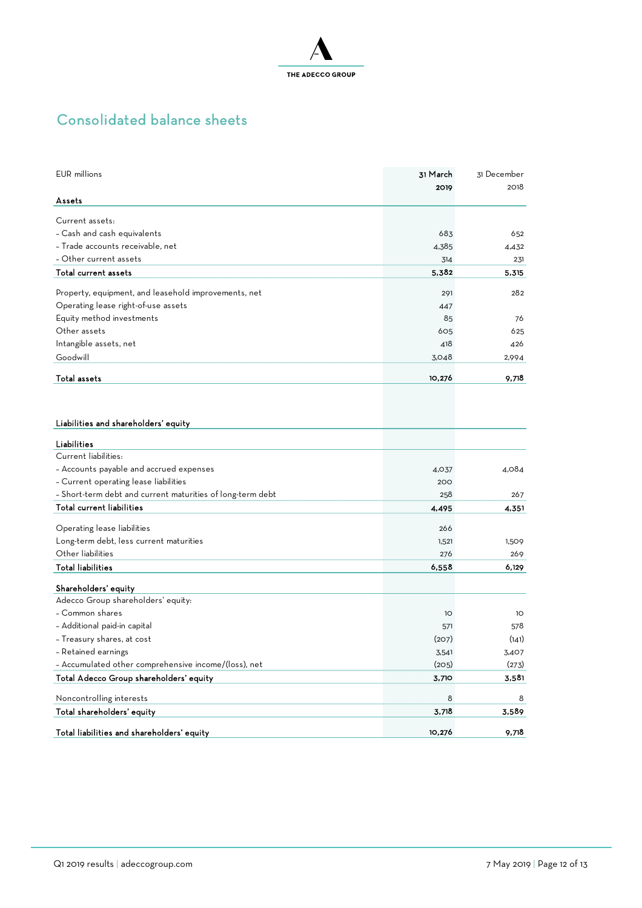

# Consolidated balance sheets

| EUR millions                                               | 31 March | 31 December |
|------------------------------------------------------------|----------|-------------|
|                                                            | 2019     | 2018        |
| Assets                                                     |          |             |
| Current assets:                                            |          |             |
| - Cash and cash equivalents                                | 683      | 652         |
| - Trade accounts receivable, net                           | 4,385    | 4,432       |
| - Other current assets                                     | 314      | 231         |
| Total current assets                                       | 5,382    | 5,315       |
|                                                            |          |             |
| Property, equipment, and leasehold improvements, net       | 291      | 282         |
| Operating lease right-of-use assets                        | 447      |             |
| Equity method investments                                  | 85       | 76          |
| Other assets                                               | 605      | 625         |
| Intangible assets, net                                     | 418      | 426         |
| Goodwill                                                   | 3,048    | 2,994       |
| <b>Total assets</b>                                        | 10,276   | 9,718       |
|                                                            |          |             |
|                                                            |          |             |
|                                                            |          |             |
| Liabilities and shareholders' equity                       |          |             |
| Liabilities                                                |          |             |
| Current liabilities:                                       |          |             |
| - Accounts payable and accrued expenses                    | 4,037    | 4.084       |
| - Current operating lease liabilities                      | 200      |             |
| - Short-term debt and current maturities of long-term debt | 258      | 267         |
| Total current liabilities                                  | 4,495    | 4,351       |
|                                                            |          |             |
| Operating lease liabilities                                | 266      |             |
| Long-term debt, less current maturities                    | 1,521    | 1,509       |
| Other liabilities                                          | 276      | 269         |
| <b>Total liabilities</b>                                   | 6,558    | 6,129       |
| Shareholders' equity                                       |          |             |
| Adecco Group shareholders' equity:                         |          |             |
| - Common shares                                            | 1O       | 10          |
| - Additional paid-in capital                               | 571      | 578         |
| - Treasury shares, at cost                                 | (207)    | (141)       |
| - Retained earnings                                        | 3,541    | 3,407       |
| - Accumulated other comprehensive income/(loss), net       | (205)    | (273)       |
| Total Adecco Group shareholders' equity                    | 3,710    | 3,581       |
|                                                            |          |             |
| Noncontrolling interests                                   | 8        | 8           |
| Total shareholders' equity                                 | 3,718    | 3,589       |
| Total liabilities and shareholders' equity                 | 10,276   | 9,718       |